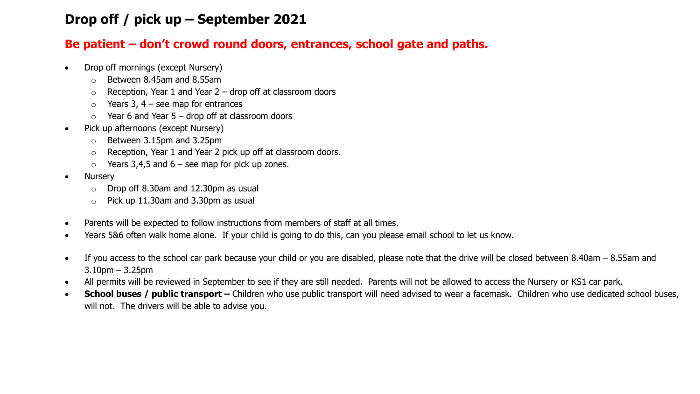## **Drop off / pick up – September 2021**

## **Be patient – don't crowd round doors, entrances, school gate and paths.**

- Drop off mornings (except Nursery)
	- o Between 8.45am and 8.55am
	- $\circ$  Reception, Year 1 and Year 2 drop off at classroom doors
	- $\circ$  Years 3, 4 see map for entrances
	- $\circ$  Year 6 and Year 5 drop off at classroom doors
- Pick up afternoons (except Nursery)
	- o Between 3.15pm and 3.25pm
	- o Reception, Year 1 and Year 2 pick up off at classroom doors.
	- $\circ$  Years 3,4,5 and 6 see map for pick up zones.
- Nursery
	- o Drop off 8.30am and 12.30pm as usual
	- $\circ$  Pick up 11.30am and 3.30pm as usual
- Parents will be expected to follow instructions from members of staff at all times.
- Years 5&6 often walk home alone. If your child is going to do this, can you please email school to let us know.
- If you access to the school car park because your child or you are disabled, please note that the drive will be closed between 8.40am 8.55am and 3.10pm – 3.25pm
- All permits will be reviewed in September to see if they are still needed. Parents will not be allowed to access the Nursery or KS1 car park.
- **School buses / public transport –** Children who use public transport will need advised to wear a facemask. Children who use dedicated school buses, will not. The drivers will be able to advise you.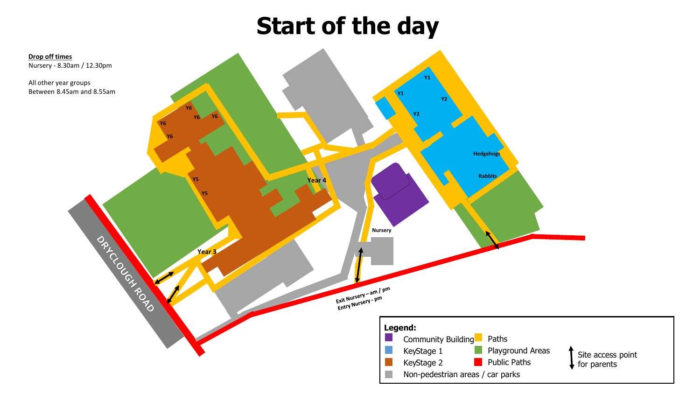## **Start of the day**